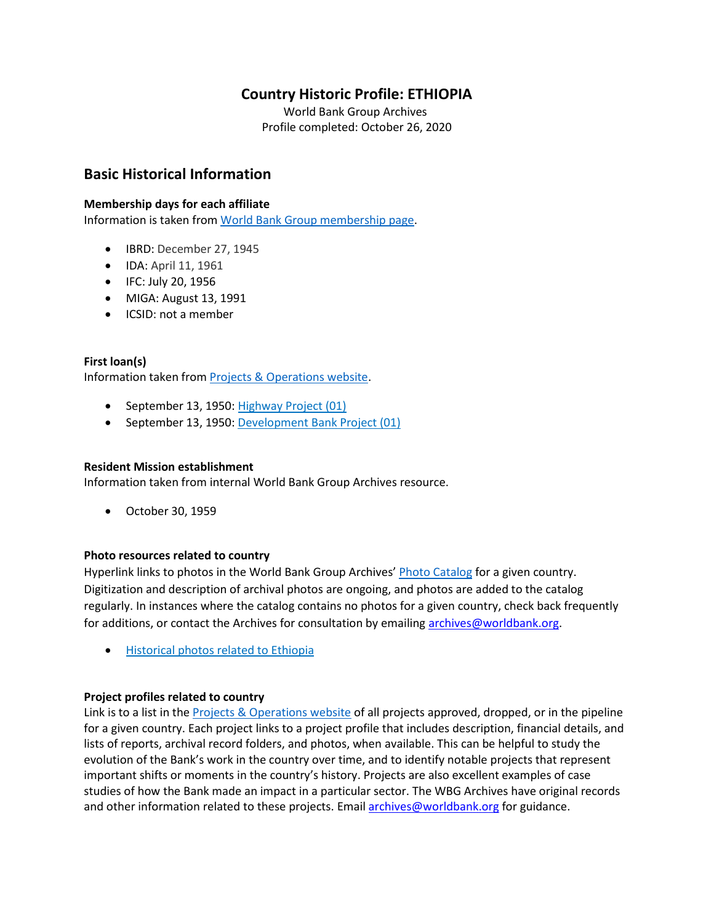# **Country Historic Profile: ETHIOPIA**

World Bank Group Archives Profile completed: October 26, 2020

# **Basic Historical Information**

#### **Membership days for each affiliate**

Information is taken from [World Bank Group membership page.](https://www.worldbank.org/en/about/leadership/members#1)

- IBRD: December 27, 1945
- IDA: April 11, 1961
- IFC: July 20, 1956
- MIGA: August 13, 1991
- ICSID: not a member

#### **First loan(s)**

Information taken from [Projects & Operations website.](https://projects.worldbank.org/)

- September 13, 1950: [Highway Project \(01\)](https://projects.worldbank.org/en/projects-operations/project-detail/P000659)
- September 13, 1950: [Development Bank Project \(01\)](https://projects.worldbank.org/en/projects-operations/project-detail/P000658)

#### **Resident Mission establishment**

Information taken from internal World Bank Group Archives resource.

• October 30, 1959

#### **Photo resources related to country**

Hyperlink links to photos in the World Bank Group Archives' [Photo Catalog](https://archivesphotos.worldbank.org/en/about/archives/photo-gallery) for a given country. Digitization and description of archival photos are ongoing, and photos are added to the catalog regularly. In instances where the catalog contains no photos for a given country, check back frequently for additions, or contact the Archives for consultation by emailing [archives@worldbank.org.](mailto:archives@worldbank.org)

• [Historical photos related to Ethiopia](https://archivesphotos.worldbank.org/en/about/archives/photo-gallery/photo-gallery-landing?&qterm=Ethiopia)

#### **Project profiles related to country**

Link is to a list in the [Projects & Operations website](https://projects.worldbank.org/) of all projects approved, dropped, or in the pipeline for a given country. Each project links to a project profile that includes description, financial details, and lists of reports, archival record folders, and photos, when available. This can be helpful to study the evolution of the Bank's work in the country over time, and to identify notable projects that represent important shifts or moments in the country's history. Projects are also excellent examples of case studies of how the Bank made an impact in a particular sector. The WBG Archives have original records and other information related to these projects. Email [archives@worldbank.org](mailto:archives@worldbank.org) for guidance.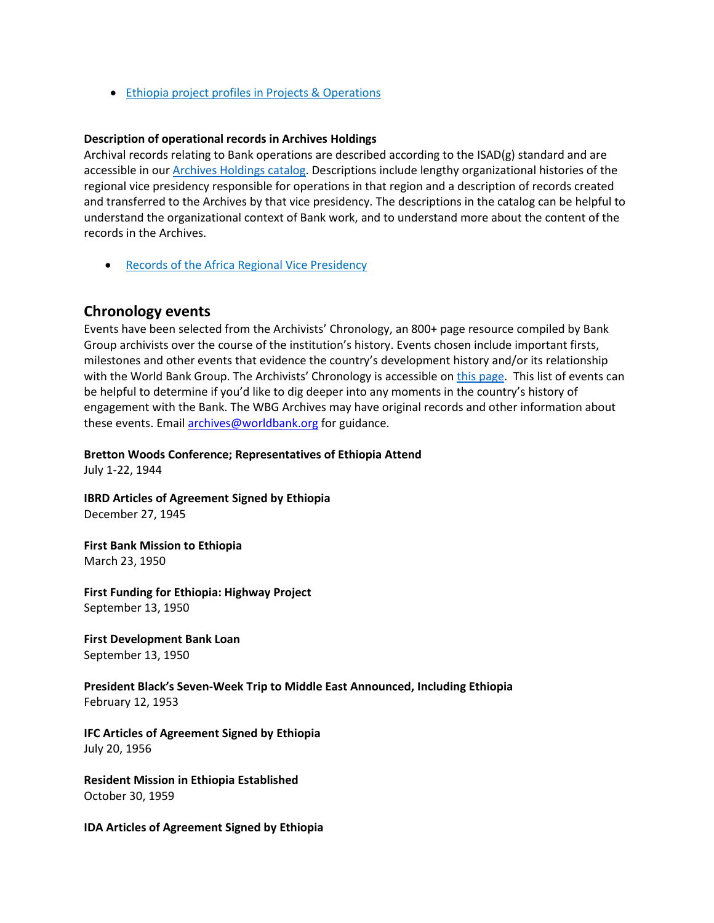• [Ethiopia project profiles in Projects & Operations](https://projects.worldbank.org/en/projects-operations/projects-list?countrycode_exact=ET)

#### **Description of operational records in Archives Holdings**

Archival records relating to Bank operations are described according to the ISAD(g) standard and are accessible in our [Archives Holdings catalog.](https://archivesholdings.worldbank.org/) Descriptions include lengthy organizational histories of the regional vice presidency responsible for operations in that region and a description of records created and transferred to the Archives by that vice presidency. The descriptions in the catalog can be helpful to understand the organizational context of Bank work, and to understand more about the content of the records in the Archives.

• [Records of the Africa Regional Vice Presidency](https://archivesholdings.worldbank.org/records-of-africa-regional-vice-presidency)

#### **Chronology events**

Events have been selected from the Archivists' Chronology, an 800+ page resource compiled by Bank Group archivists over the course of the institution's history. Events chosen include important firsts, milestones and other events that evidence the country's development history and/or its relationship with the World Bank Group. The Archivists' Chronology is accessible on [this page.](https://www.worldbank.org/en/about/archives/history/timeline) This list of events can be helpful to determine if you'd like to dig deeper into any moments in the country's history of engagement with the Bank. The WBG Archives may have original records and other information about these events. Email [archives@worldbank.org](mailto:archives@worldbank.org) for guidance.

**Bretton Woods Conference; Representatives of Ethiopia Attend**

July 1-22, 1944

**IBRD Articles of Agreement Signed by Ethiopia** December 27, 1945

**First Bank Mission to Ethiopia** March 23, 1950

**First Funding for Ethiopia: Highway Project** September 13, 1950

**First Development Bank Loan** September 13, 1950

#### **President Black's Seven-Week Trip to Middle East Announced, Including Ethiopia**  February 12, 1953

**IFC Articles of Agreement Signed by Ethiopia** July 20, 1956

**Resident Mission in Ethiopia Established** October 30, 1959

**IDA Articles of Agreement Signed by Ethiopia**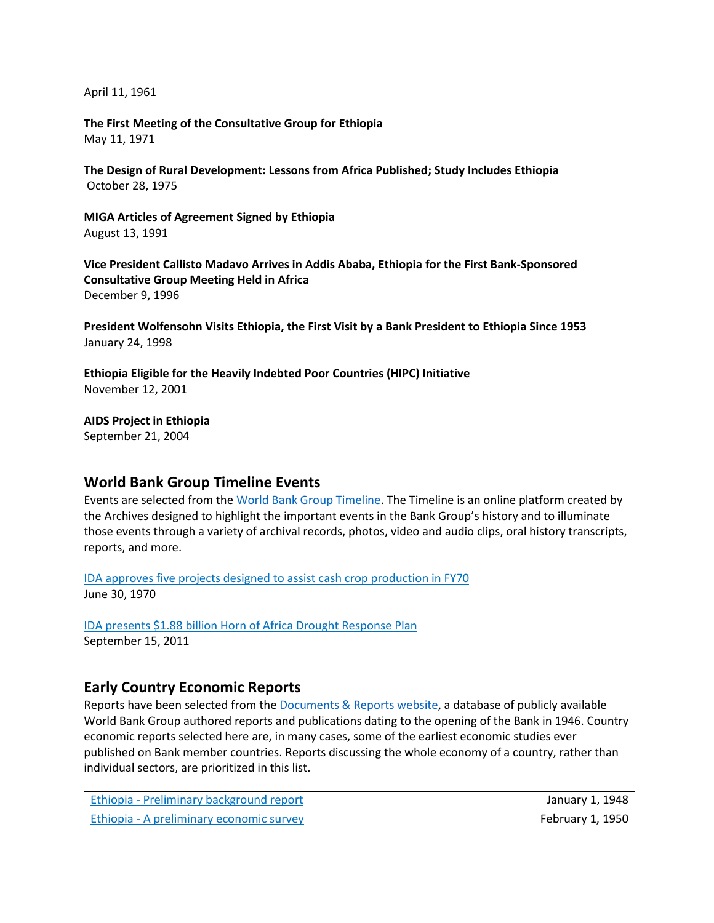April 11, 1961

**The First Meeting of the Consultative Group for Ethiopia** May 11, 1971

**The Design of Rural Development: Lessons from Africa Published; Study Includes Ethiopia**  October 28, 1975

**MIGA Articles of Agreement Signed by Ethiopia** August 13, 1991

**Vice President Callisto Madavo Arrives in Addis Ababa, Ethiopia for the First Bank-Sponsored Consultative Group Meeting Held in Africa** December 9, 1996

**President Wolfensohn Visits Ethiopia, the First Visit by a Bank President to Ethiopia Since 1953** January 24, 1998

**Ethiopia Eligible for the Heavily Indebted Poor Countries (HIPC) Initiative** November 12, 2001

**AIDS Project in Ethiopia**

September 21, 2004

## **World Bank Group Timeline Events**

Events are selected from the [World Bank Group Timeline.](https://timeline.worldbank.org/#event-bretton-woods-conference-begins) The Timeline is an online platform created by the Archives designed to highlight the important events in the Bank Group's history and to illuminate those events through a variety of archival records, photos, video and audio clips, oral history transcripts, reports, and more.

[IDA approves five projects designed to assist cash crop production in FY70](https://timeline.worldbank.org/?field_timeline_target_id=All&combine=Ethiopia#event-ida-approves-five-projects-designed-to-assist-cash-crop-production-in-fy70) June 30, 1970

[IDA presents \\$1.88 billion Horn of Africa Drought Response Plan](https://timeline.worldbank.org/?field_timeline_target_id=All&combine=Ethiopia#event-ida-presents-188-billion-horn-of-africa-drought-response-plan) September 15, 2011

## **Early Country Economic Reports**

Reports have been selected from the [Documents & Reports website,](https://documents.worldbank.org/) a database of publicly available World Bank Group authored reports and publications dating to the opening of the Bank in 1946. Country economic reports selected here are, in many cases, some of the earliest economic studies ever published on Bank member countries. Reports discussing the whole economy of a country, rather than individual sectors, are prioritized in this list.

| Ethiopia - Preliminary background report | January 1, 1948  |
|------------------------------------------|------------------|
| Ethiopia - A preliminary economic survey | February 1, 1950 |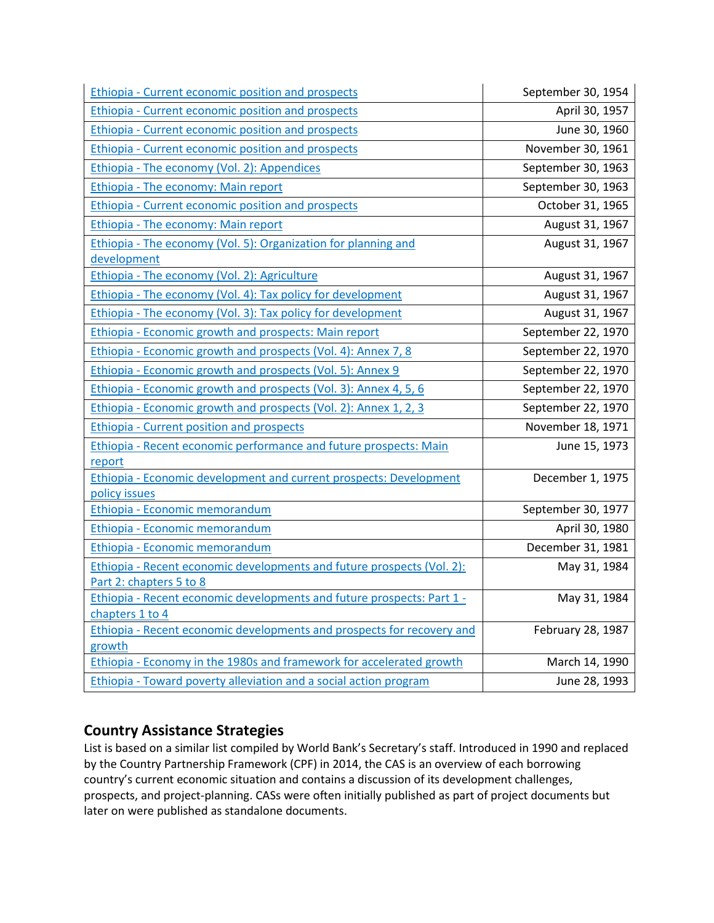| <b>Ethiopia - Current economic position and prospects</b>                        | September 30, 1954 |
|----------------------------------------------------------------------------------|--------------------|
| <b>Ethiopia - Current economic position and prospects</b>                        | April 30, 1957     |
| Ethiopia - Current economic position and prospects                               | June 30, 1960      |
| <b>Ethiopia - Current economic position and prospects</b>                        | November 30, 1961  |
| Ethiopia - The economy (Vol. 2): Appendices                                      | September 30, 1963 |
| Ethiopia - The economy: Main report                                              | September 30, 1963 |
| Ethiopia - Current economic position and prospects                               | October 31, 1965   |
| Ethiopia - The economy: Main report                                              | August 31, 1967    |
| Ethiopia - The economy (Vol. 5): Organization for planning and                   | August 31, 1967    |
| development                                                                      |                    |
| Ethiopia - The economy (Vol. 2): Agriculture                                     | August 31, 1967    |
| Ethiopia - The economy (Vol. 4): Tax policy for development                      | August 31, 1967    |
| Ethiopia - The economy (Vol. 3): Tax policy for development                      | August 31, 1967    |
| Ethiopia - Economic growth and prospects: Main report                            | September 22, 1970 |
| Ethiopia - Economic growth and prospects (Vol. 4): Annex 7, 8                    | September 22, 1970 |
| Ethiopia - Economic growth and prospects (Vol. 5): Annex 9                       | September 22, 1970 |
| Ethiopia - Economic growth and prospects (Vol. 3): Annex 4, 5, 6                 | September 22, 1970 |
| Ethiopia - Economic growth and prospects (Vol. 2): Annex 1, 2, 3                 | September 22, 1970 |
| Ethiopia - Current position and prospects                                        | November 18, 1971  |
| Ethiopia - Recent economic performance and future prospects: Main                | June 15, 1973      |
| report                                                                           |                    |
| Ethiopia - Economic development and current prospects: Development               | December 1, 1975   |
| policy issues                                                                    |                    |
| Ethiopia - Economic memorandum                                                   | September 30, 1977 |
| Ethiopia - Economic memorandum                                                   | April 30, 1980     |
| Ethiopia - Economic memorandum                                                   | December 31, 1981  |
| Ethiopia - Recent economic developments and future prospects (Vol. 2):           | May 31, 1984       |
| Part 2: chapters 5 to 8                                                          |                    |
| Ethiopia - Recent economic developments and future prospects: Part 1 -           | May 31, 1984       |
| chapters 1 to 4                                                                  |                    |
| Ethiopia - Recent economic developments and prospects for recovery and<br>growth | February 28, 1987  |
| Ethiopia - Economy in the 1980s and framework for accelerated growth             | March 14, 1990     |
|                                                                                  |                    |
| <b>Ethiopia - Toward poverty alleviation and a social action program</b>         | June 28, 1993      |

# **Country Assistance Strategies**

List is based on a similar list compiled by World Bank's Secretary's staff. Introduced in 1990 and replaced by the Country Partnership Framework (CPF) in 2014, the CAS is an overview of each borrowing country's current economic situation and contains a discussion of its development challenges, prospects, and project-planning. CASs were often initially published as part of project documents but later on were published as standalone documents.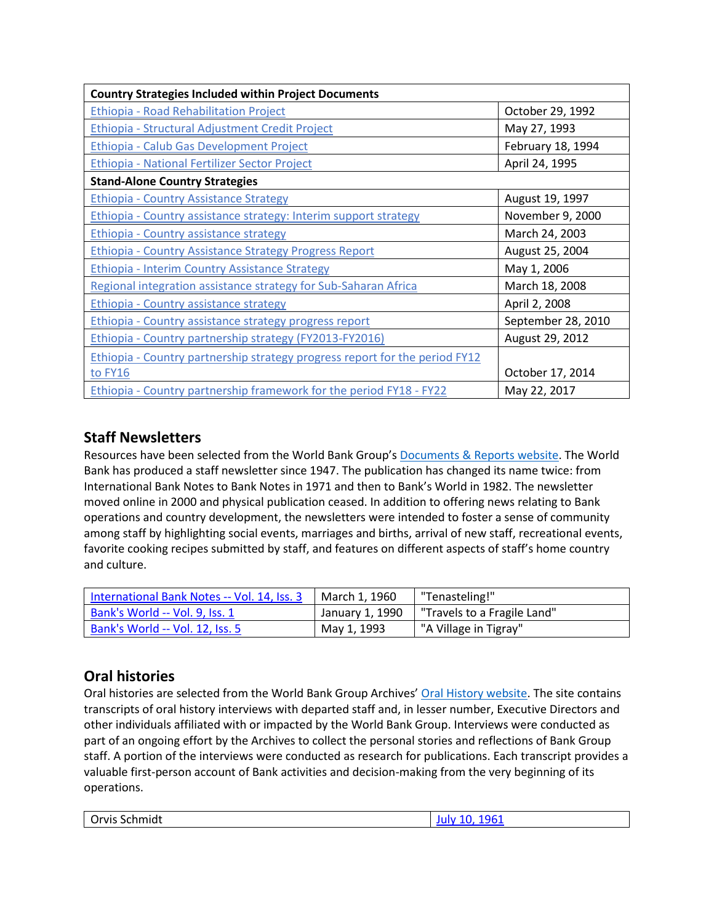| <b>Country Strategies Included within Project Documents</b>                 |                    |
|-----------------------------------------------------------------------------|--------------------|
| <b>Ethiopia - Road Rehabilitation Project</b>                               | October 29, 1992   |
| Ethiopia - Structural Adjustment Credit Project                             | May 27, 1993       |
| Ethiopia - Calub Gas Development Project                                    | February 18, 1994  |
| Ethiopia - National Fertilizer Sector Project                               | April 24, 1995     |
| <b>Stand-Alone Country Strategies</b>                                       |                    |
| <b>Ethiopia - Country Assistance Strategy</b>                               | August 19, 1997    |
| Ethiopia - Country assistance strategy: Interim support strategy            | November 9, 2000   |
| Ethiopia - Country assistance strategy                                      | March 24, 2003     |
| <b>Ethiopia - Country Assistance Strategy Progress Report</b>               | August 25, 2004    |
| <b>Ethiopia - Interim Country Assistance Strategy</b>                       | May 1, 2006        |
| Regional integration assistance strategy for Sub-Saharan Africa             | March 18, 2008     |
| <b>Ethiopia - Country assistance strategy</b>                               | April 2, 2008      |
| Ethiopia - Country assistance strategy progress report                      | September 28, 2010 |
| Ethiopia - Country partnership strategy (FY2013-FY2016)                     | August 29, 2012    |
| Ethiopia - Country partnership strategy progress report for the period FY12 |                    |
| to FY16                                                                     | October 17, 2014   |
| Ethiopia - Country partnership framework for the period FY18 - FY22         | May 22, 2017       |

# **Staff Newsletters**

Resources have been selected from the World Bank Group's [Documents & Reports website.](https://documents.worldbank.org/) The World Bank has produced a staff newsletter since 1947. The publication has changed its name twice: from International Bank Notes to Bank Notes in 1971 and then to Bank's World in 1982. The newsletter moved online in 2000 and physical publication ceased. In addition to offering news relating to Bank operations and country development, the newsletters were intended to foster a sense of community among staff by highlighting social events, marriages and births, arrival of new staff, recreational events, favorite cooking recipes submitted by staff, and features on different aspects of staff's home country and culture.

| International Bank Notes -- Vol. 14, Iss. 3 | March 1, 1960   | "Tenasteling!"              |
|---------------------------------------------|-----------------|-----------------------------|
| Bank's World -- Vol. 9, Iss. 1              | January 1, 1990 | "Travels to a Fragile Land" |
| Bank's World -- Vol. 12, Iss. 5             | May 1, 1993     | "A Village in Tigray"       |

# **Oral histories**

Oral histories are selected from the World Bank Group Archives' [Oral History website.](https://oralhistory.worldbank.org/) The site contains transcripts of oral history interviews with departed staff and, in lesser number, Executive Directors and other individuals affiliated with or impacted by the World Bank Group. Interviews were conducted as part of an ongoing effort by the Archives to collect the personal stories and reflections of Bank Group staff. A portion of the interviews were conducted as research for publications. Each transcript provides a valuable first-person account of Bank activities and decision-making from the very beginning of its operations.

| Orvis Schmidt | 1961<br>July 10, |
|---------------|------------------|
|---------------|------------------|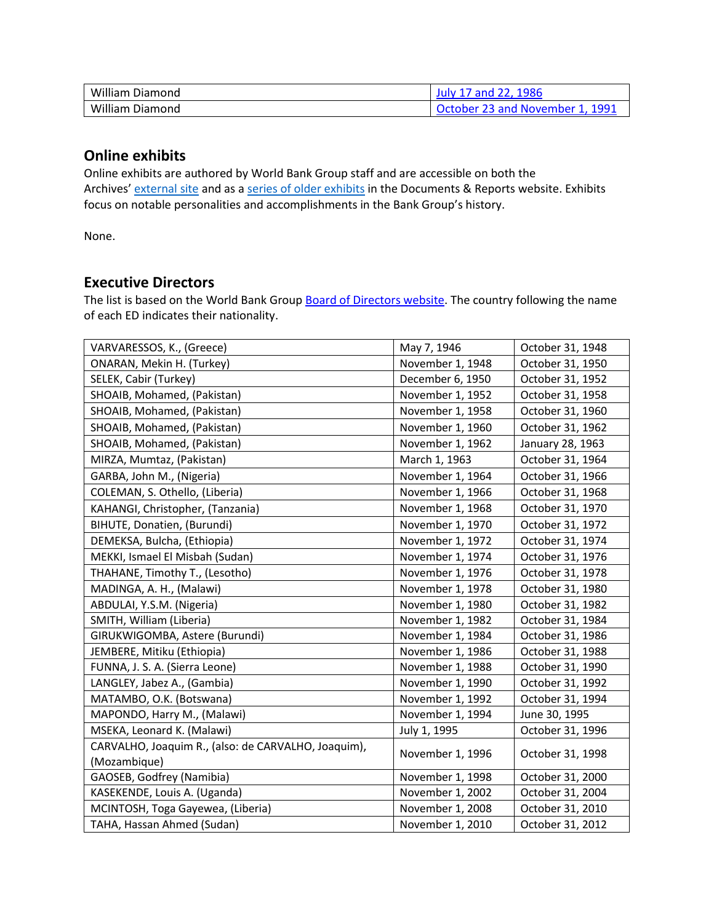| William            | 1986                                               |  |
|--------------------|----------------------------------------------------|--|
| Diamond            | and $U$                                            |  |
| William<br>Diamond | 1991<br>$\pi$ 23 and November 1.<br><b>October</b> |  |

## **Online exhibits**

Online exhibits are authored by World Bank Group staff and are accessible on both the Archives' [external site](https://www.worldbank.org/en/about/archives/history/exhibits) and as a [series of older exhibits](https://documents.worldbank.org/en/publication/documents-reports/documentlist?colti=World%20Bank%20Group%20Archives%20exhibit%20series) in the Documents & Reports website. Exhibits focus on notable personalities and accomplishments in the Bank Group's history.

None.

# **Executive Directors**

The list is based on the World Bank Group [Board of Directors website.](https://worldbankgroup.sharepoint.com/sites/wbsites/ExecutiveBoard/Pages/pc/About-the-Boards-05222019-155532/List-of-Executi-05222019-155839.aspx) The country following the name of each ED indicates their nationality.

| VARVARESSOS, K., (Greece)                           | May 7, 1946      | October 31, 1948 |
|-----------------------------------------------------|------------------|------------------|
| ONARAN, Mekin H. (Turkey)                           | November 1, 1948 | October 31, 1950 |
| SELEK, Cabir (Turkey)                               | December 6, 1950 | October 31, 1952 |
| SHOAIB, Mohamed, (Pakistan)                         | November 1, 1952 | October 31, 1958 |
| SHOAIB, Mohamed, (Pakistan)                         | November 1, 1958 | October 31, 1960 |
| SHOAIB, Mohamed, (Pakistan)                         | November 1, 1960 | October 31, 1962 |
| SHOAIB, Mohamed, (Pakistan)                         | November 1, 1962 | January 28, 1963 |
| MIRZA, Mumtaz, (Pakistan)                           | March 1, 1963    | October 31, 1964 |
| GARBA, John M., (Nigeria)                           | November 1, 1964 | October 31, 1966 |
| COLEMAN, S. Othello, (Liberia)                      | November 1, 1966 | October 31, 1968 |
| KAHANGI, Christopher, (Tanzania)                    | November 1, 1968 | October 31, 1970 |
| BIHUTE, Donatien, (Burundi)                         | November 1, 1970 | October 31, 1972 |
| DEMEKSA, Bulcha, (Ethiopia)                         | November 1, 1972 | October 31, 1974 |
| MEKKI, Ismael El Misbah (Sudan)                     | November 1, 1974 | October 31, 1976 |
| THAHANE, Timothy T., (Lesotho)                      | November 1, 1976 | October 31, 1978 |
| MADINGA, A. H., (Malawi)                            | November 1, 1978 | October 31, 1980 |
| ABDULAI, Y.S.M. (Nigeria)                           | November 1, 1980 | October 31, 1982 |
| SMITH, William (Liberia)                            | November 1, 1982 | October 31, 1984 |
| GIRUKWIGOMBA, Astere (Burundi)                      | November 1, 1984 | October 31, 1986 |
| JEMBERE, Mitiku (Ethiopia)                          | November 1, 1986 | October 31, 1988 |
| FUNNA, J. S. A. (Sierra Leone)                      | November 1, 1988 | October 31, 1990 |
| LANGLEY, Jabez A., (Gambia)                         | November 1, 1990 | October 31, 1992 |
| MATAMBO, O.K. (Botswana)                            | November 1, 1992 | October 31, 1994 |
| MAPONDO, Harry M., (Malawi)                         | November 1, 1994 | June 30, 1995    |
| MSEKA, Leonard K. (Malawi)                          | July 1, 1995     | October 31, 1996 |
| CARVALHO, Joaquim R., (also: de CARVALHO, Joaquim), | November 1, 1996 | October 31, 1998 |
| (Mozambique)                                        |                  |                  |
| GAOSEB, Godfrey (Namibia)                           | November 1, 1998 | October 31, 2000 |
| KASEKENDE, Louis A. (Uganda)                        | November 1, 2002 | October 31, 2004 |
| MCINTOSH, Toga Gayewea, (Liberia)                   | November 1, 2008 | October 31, 2010 |
| TAHA, Hassan Ahmed (Sudan)                          | November 1, 2010 | October 31, 2012 |